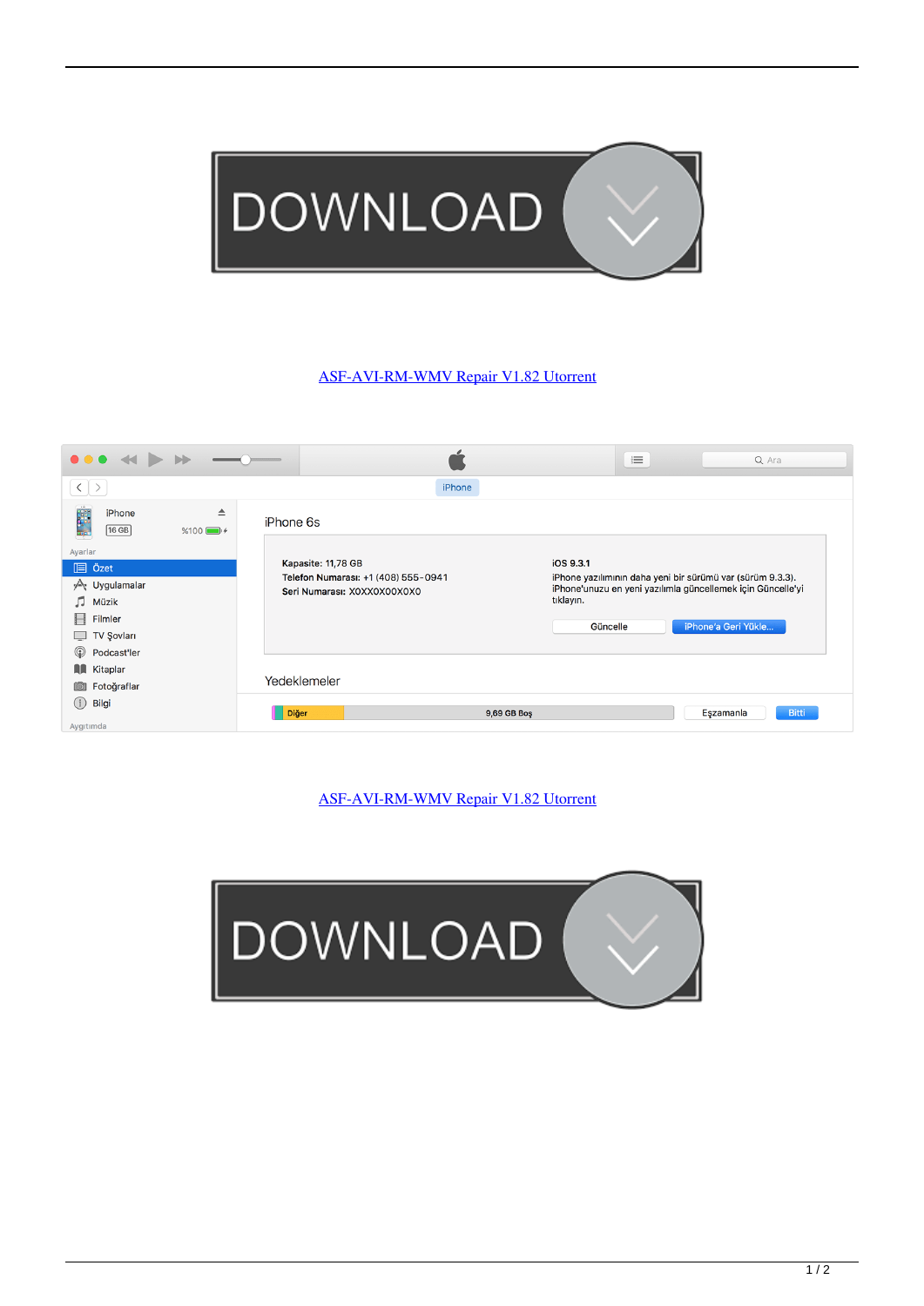

## [ASF-AVI-RM-WMV Repair V1.82 Utorrent](https://imgfil.com/1mgjpn)

| $\bullet\bullet\bullet$                                                                                                                                  |                 |                                                                                          |                                    | 這 | Q Ara                                                                                                                                            |
|----------------------------------------------------------------------------------------------------------------------------------------------------------|-----------------|------------------------------------------------------------------------------------------|------------------------------------|---|--------------------------------------------------------------------------------------------------------------------------------------------------|
| $\langle$ $\rangle$                                                                                                                                      |                 | iPhone                                                                                   |                                    |   |                                                                                                                                                  |
| iPhone<br>$[16$ GB                                                                                                                                       | ≜<br>$%100$ $+$ | iPhone 6s                                                                                |                                    |   |                                                                                                                                                  |
| Ayarlar<br><b>IEI</b> Özet<br>y <sup>∆</sup> र Uygulamalar<br>л<br>Müzik<br>Filmler<br>Н<br><b>TV Şovları</b><br>$\Box$<br>$\circledcirc$<br>Podcast'ler |                 | Kapasite: 11,78 GB<br>Telefon Numarası: +1 (408) 555-0941<br>Seri Numarası: XOXXOXOOXOXO | iOS 9.3.1<br>tıklayın.<br>Güncelle |   | iPhone yazılımının daha yeni bir sürümü var (sürüm 9.3.3).<br>iPhone'unuzu en yeni yazılımla güncellemek için Güncelle'yi<br>iPhone'a Geri Yükle |
| <b>A</b> Kitaplar<br>Fotoğraflar<br>$\overline{10}$                                                                                                      |                 | Yedeklemeler                                                                             |                                    |   |                                                                                                                                                  |
| (i)<br>Bilgi<br>Aygıtımda                                                                                                                                |                 | <b>Diğer</b><br>9,69 GB Boş                                                              |                                    |   | <b>Bitti</b><br>Eşzamanla                                                                                                                        |

## [ASF-AVI-RM-WMV Repair V1.82 Utorrent](https://imgfil.com/1mgjpn)